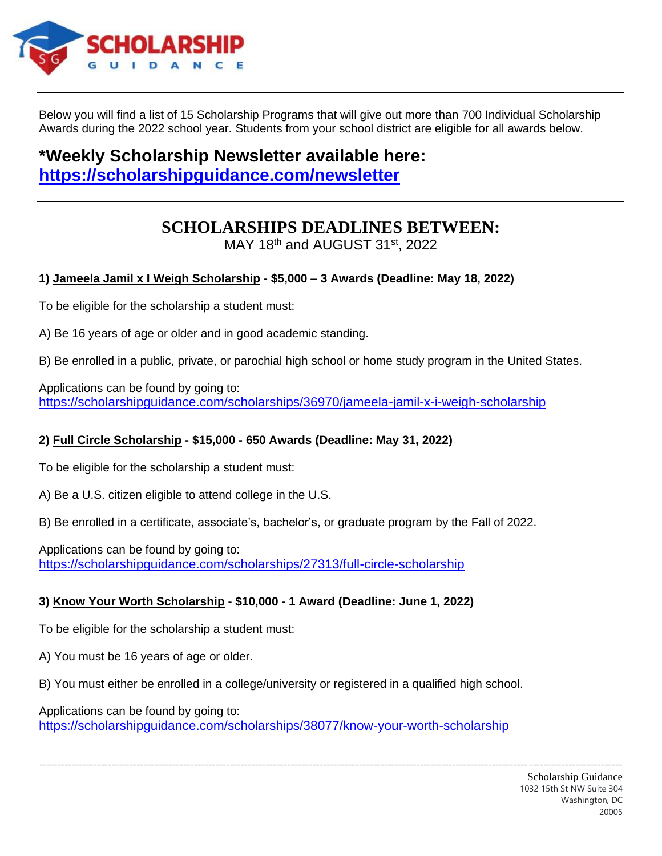

Below you will find a list of 15 Scholarship Programs that will give out more than 700 Individual Scholarship Awards during the 2022 school year. Students from your school district are eligible for all awards below.

# **\*Weekly Scholarship Newsletter available here: <https://scholarshipguidance.com/newsletter>**

# **SCHOLARSHIPS DEADLINES BETWEEN:**

MAY 18th and AUGUST 31st, 2022

# **1) Jameela Jamil x I Weigh Scholarship - \$5,000 – 3 Awards (Deadline: May 18, 2022)**

To be eligible for the scholarship a student must:

A) Be 16 years of age or older and in good academic standing.

B) Be enrolled in a public, private, or parochial high school or home study program in the United States.

Applications can be found by going to: <https://scholarshipguidance.com/scholarships/36970/jameela-jamil-x-i-weigh-scholarship>

## **2) Full Circle Scholarship - \$15,000 - 650 Awards (Deadline: May 31, 2022)**

To be eligible for the scholarship a student must:

A) Be a U.S. citizen eligible to attend college in the U.S.

B) Be enrolled in a certificate, associate's, bachelor's, or graduate program by the Fall of 2022.

Applications can be found by going to: <https://scholarshipguidance.com/scholarships/27313/full-circle-scholarship>

## **3) Know Your Worth Scholarship - \$10,000 - 1 Award (Deadline: June 1, 2022)**

To be eligible for the scholarship a student must:

A) You must be 16 years of age or older.

B) You must either be enrolled in a college/university or registered in a qualified high school.

Applications can be found by going to: <https://scholarshipguidance.com/scholarships/38077/know-your-worth-scholarship>

------------------------------------------------------------------------------------------------------------------------------------------------------------------

Scholarship Guidance 1032 15th St NW Suite 304 Washington, DC 20005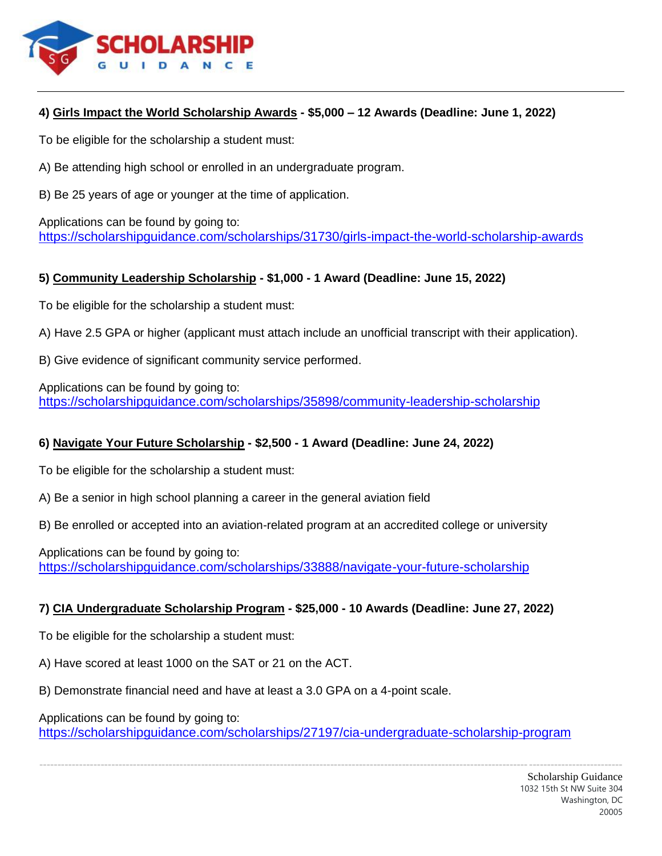

#### **4) Girls Impact the World Scholarship Awards - \$5,000 – 12 Awards (Deadline: June 1, 2022)**

To be eligible for the scholarship a student must:

A) Be attending high school or enrolled in an undergraduate program.

B) Be 25 years of age or younger at the time of application.

Applications can be found by going to: <https://scholarshipguidance.com/scholarships/31730/girls-impact-the-world-scholarship-awards>

#### **5) Community Leadership Scholarship - \$1,000 - 1 Award (Deadline: June 15, 2022)**

To be eligible for the scholarship a student must:

A) Have 2.5 GPA or higher (applicant must attach include an unofficial transcript with their application).

B) Give evidence of significant community service performed.

Applications can be found by going to: <https://scholarshipguidance.com/scholarships/35898/community-leadership-scholarship>

## **6) Navigate Your Future Scholarship - \$2,500 - 1 Award (Deadline: June 24, 2022)**

To be eligible for the scholarship a student must:

A) Be a senior in high school planning a career in the general aviation field

B) Be enrolled or accepted into an aviation-related program at an accredited college or university

Applications can be found by going to: <https://scholarshipguidance.com/scholarships/33888/navigate-your-future-scholarship>

#### **7) CIA Undergraduate Scholarship Program - \$25,000 - 10 Awards (Deadline: June 27, 2022)**

To be eligible for the scholarship a student must:

A) Have scored at least 1000 on the SAT or 21 on the ACT.

B) Demonstrate financial need and have at least a 3.0 GPA on a 4-point scale.

Applications can be found by going to:

<https://scholarshipguidance.com/scholarships/27197/cia-undergraduate-scholarship-program>

------------------------------------------------------------------------------------------------------------------------------------------------------------------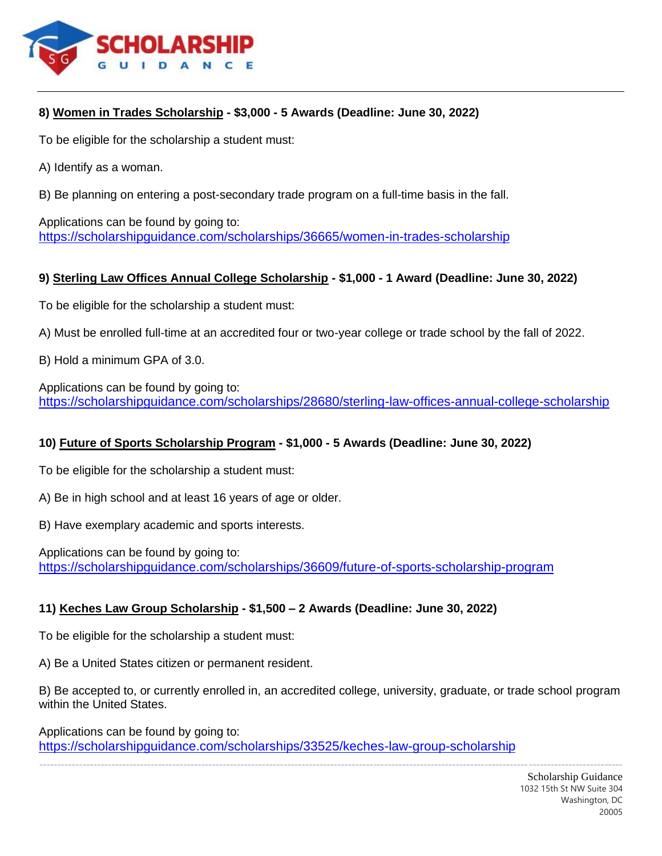

## **8) Women in Trades Scholarship - \$3,000 - 5 Awards (Deadline: June 30, 2022)**

To be eligible for the scholarship a student must:

A) Identify as a woman.

B) Be planning on entering a post-secondary trade program on a full-time basis in the fall.

Applications can be found by going to: <https://scholarshipguidance.com/scholarships/36665/women-in-trades-scholarship>

#### **9) Sterling Law Offices Annual College Scholarship - \$1,000 - 1 Award (Deadline: June 30, 2022)**

To be eligible for the scholarship a student must:

- A) Must be enrolled full-time at an accredited four or two-year college or trade school by the fall of 2022.
- B) Hold a minimum GPA of 3.0.

Applications can be found by going to: <https://scholarshipguidance.com/scholarships/28680/sterling-law-offices-annual-college-scholarship>

## **10) Future of Sports Scholarship Program - \$1,000 - 5 Awards (Deadline: June 30, 2022)**

To be eligible for the scholarship a student must:

- A) Be in high school and at least 16 years of age or older.
- B) Have exemplary academic and sports interests.

Applications can be found by going to: <https://scholarshipguidance.com/scholarships/36609/future-of-sports-scholarship-program>

#### **11) Keches Law Group Scholarship - \$1,500 – 2 Awards (Deadline: June 30, 2022)**

To be eligible for the scholarship a student must:

A) Be a United States citizen or permanent resident.

B) Be accepted to, or currently enrolled in, an accredited college, university, graduate, or trade school program within the United States.

Applications can be found by going to: <https://scholarshipguidance.com/scholarships/33525/keches-law-group-scholarship>